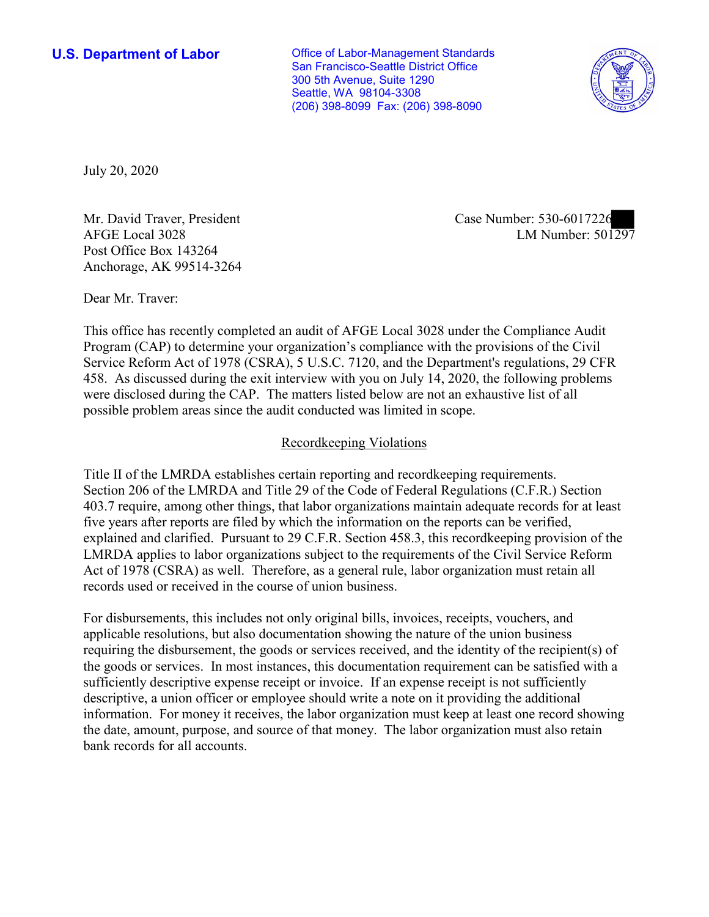**U.S. Department of Labor Conservative Conservative Conservative Conservative U.S.** Department of Labor San Francisco-Seattle District Office 300 5th Avenue, Suite 1290 Seattle, WA 98104-3308 (206) 398-8099 Fax: (206) 398-8090



July 20, 2020

Post Office Box 143264 Anchorage, AK 99514-3264

Mr. David Traver, President and Case Number: 330-0017220<br>AFGE Local 3028 LM Number: 501297 Mr. David Traver, President Case Number: 530-6017226

Dear Mr. Traver:

 This office has recently completed an audit of AFGE Local 3028 under the Compliance Audit Program (CAP) to determine your organization's compliance with the provisions of the Civil Service Reform Act of 1978 (CSRA), 5 U.S.C. 7120, and the Department's regulations, 29 CFR 458. As discussed during the exit interview with you on July 14, 2020, the following problems were disclosed during the CAP. The matters listed below are not an exhaustive list of all possible problem areas since the audit conducted was limited in scope.

## Recordkeeping Violations

 403.7 require, among other things, that labor organizations maintain adequate records for at least Title II of the LMRDA establishes certain reporting and recordkeeping requirements. Section 206 of the LMRDA and Title 29 of the Code of Federal Regulations (C.F.R.) Section five years after reports are filed by which the information on the reports can be verified, explained and clarified. Pursuant to 29 C.F.R. Section 458.3, this recordkeeping provision of the LMRDA applies to labor organizations subject to the requirements of the Civil Service Reform Act of 1978 (CSRA) as well. Therefore, as a general rule, labor organization must retain all records used or received in the course of union business.

For disbursements, this includes not only original bills, invoices, receipts, vouchers, and applicable resolutions, but also documentation showing the nature of the union business requiring the disbursement, the goods or services received, and the identity of the recipient(s) of the goods or services. In most instances, this documentation requirement can be satisfied with a sufficiently descriptive expense receipt or invoice. If an expense receipt is not sufficiently descriptive, a union officer or employee should write a note on it providing the additional information. For money it receives, the labor organization must keep at least one record showing the date, amount, purpose, and source of that money. The labor organization must also retain bank records for all accounts.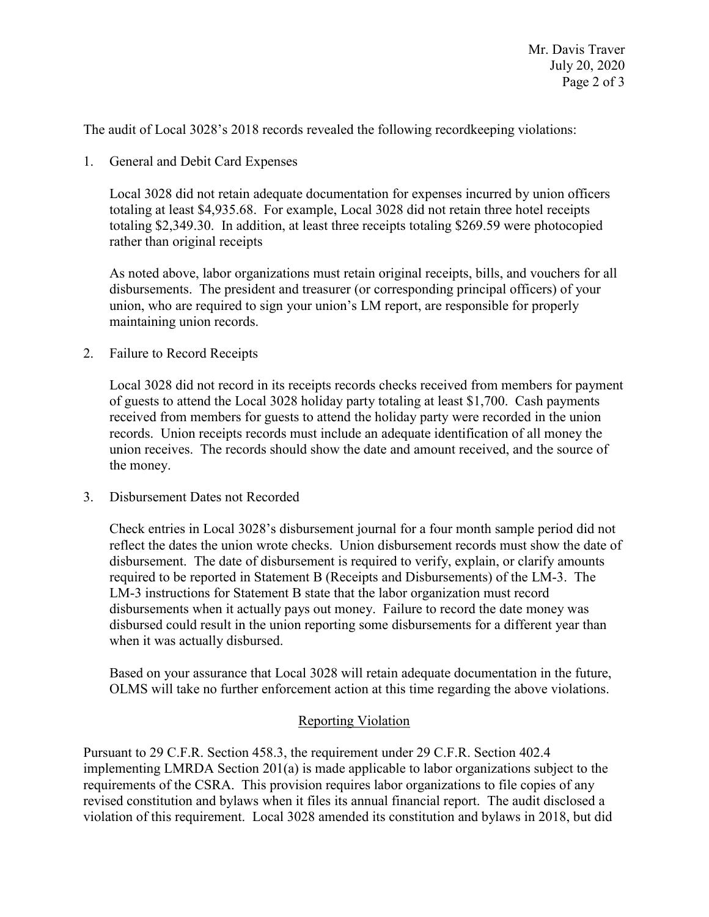The audit of Local 3028's 2018 records revealed the following recordkeeping violations:<br>1. General and Debit Card Expenses

Local 3028 did not retain adequate documentation for expenses incurred by union officers totaling at least \$[4,935.68.](https://4,935.68) For example, Local 3028 did not retain three hotel receipts totaling [\\$2,349.30](https://2,349.30). In addition, at least three receipts totaling \$269.59 were photocopied rather than original receipts

 disbursements. The president and treasurer (or corresponding principal officers) of your As noted above, labor organizations must retain original receipts, bills, and vouchers for all union, who are required to sign your union's LM report, are responsible for properly maintaining union records.

2. Failure to Record Receipts

Local 3028 did not record in its receipts records checks received from members for payment of guests to attend the Local 3028 holiday party totaling at least \$1,700. Cash payments received from members for guests to attend the holiday party were recorded in the union records. Union receipts records must include an adequate identification of all money the union receives. The records should show the date and amount received, and the source of the money.

3. Disbursement Dates not Recorded

 disbursements when it actually pays out money. Failure to record the date money was disbursed could result in the union reporting some disbursements for a different year than Check entries in Local 3028's disbursement journal for a four month sample period did not reflect the dates the union wrote checks. Union disbursement records must show the date of disbursement. The date of disbursement is required to verify, explain, or clarify amounts required to be reported in Statement B (Receipts and Disbursements) of the LM-3. The LM-3 instructions for Statement B state that the labor organization must record when it was actually disbursed.

Based on your assurance that Local 3028 will retain adequate documentation in the future, OLMS will take no further enforcement action at this time regarding the above violations.

## Reporting Violation

Pursuant to 29 C.F.R. Section 458.3, the requirement under 29 C.F.R. Section 402.4 implementing LMRDA Section 201(a) is made applicable to labor organizations subject to the requirements of the CSRA. This provision requires labor organizations to file copies of any revised constitution and bylaws when it files its annual financial report. The audit disclosed a violation of this requirement. Local 3028 amended its constitution and bylaws in 2018, but did